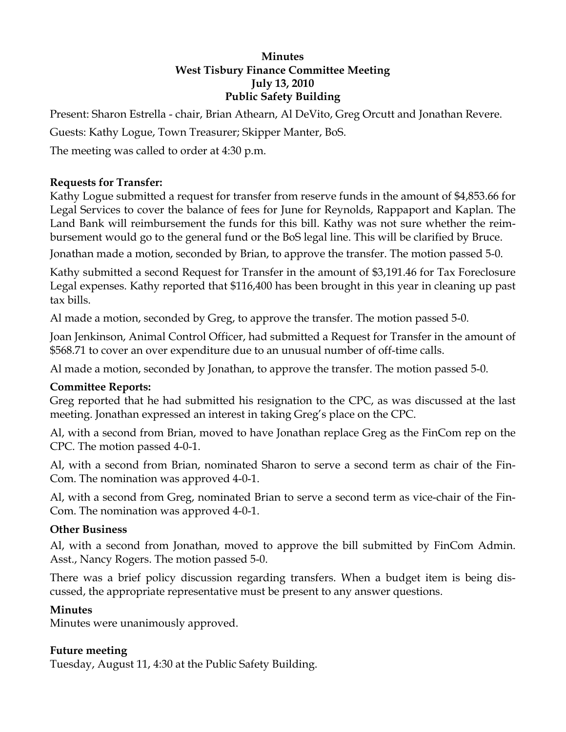## **Minutes West Tisbury Finance Committee Meeting July 13, 2010 Public Safety Building**

Present: Sharon Estrella - chair, Brian Athearn, Al DeVito, Greg Orcutt and Jonathan Revere. Guests: Kathy Logue, Town Treasurer; Skipper Manter, BoS.

The meeting was called to order at 4:30 p.m.

# **Requests for Transfer:**

Kathy Logue submitted a request for transfer from reserve funds in the amount of \$4,853.66 for Legal Services to cover the balance of fees for June for Reynolds, Rappaport and Kaplan. The Land Bank will reimbursement the funds for this bill. Kathy was not sure whether the reimbursement would go to the general fund or the BoS legal line. This will be clarified by Bruce.

Jonathan made a motion, seconded by Brian, to approve the transfer. The motion passed 5-0.

Kathy submitted a second Request for Transfer in the amount of \$3,191.46 for Tax Foreclosure Legal expenses. Kathy reported that \$116,400 has been brought in this year in cleaning up past tax bills.

Al made a motion, seconded by Greg, to approve the transfer. The motion passed 5-0.

Joan Jenkinson, Animal Control Officer, had submitted a Request for Transfer in the amount of \$568.71 to cover an over expenditure due to an unusual number of off-time calls.

Al made a motion, seconded by Jonathan, to approve the transfer. The motion passed 5-0.

### **Committee Reports:**

Greg reported that he had submitted his resignation to the CPC, as was discussed at the last meeting. Jonathan expressed an interest in taking Greg's place on the CPC.

Al, with a second from Brian, moved to have Jonathan replace Greg as the FinCom rep on the CPC. The motion passed 4-0-1.

Al, with a second from Brian, nominated Sharon to serve a second term as chair of the Fin-Com. The nomination was approved 4-0-1.

Al, with a second from Greg, nominated Brian to serve a second term as vice-chair of the Fin-Com. The nomination was approved 4-0-1.

### **Other Business**

Al, with a second from Jonathan, moved to approve the bill submitted by FinCom Admin. Asst., Nancy Rogers. The motion passed 5-0.

There was a brief policy discussion regarding transfers. When a budget item is being discussed, the appropriate representative must be present to any answer questions.

### **Minutes**

Minutes were unanimously approved.

# **Future meeting**

Tuesday, August 11, 4:30 at the Public Safety Building.